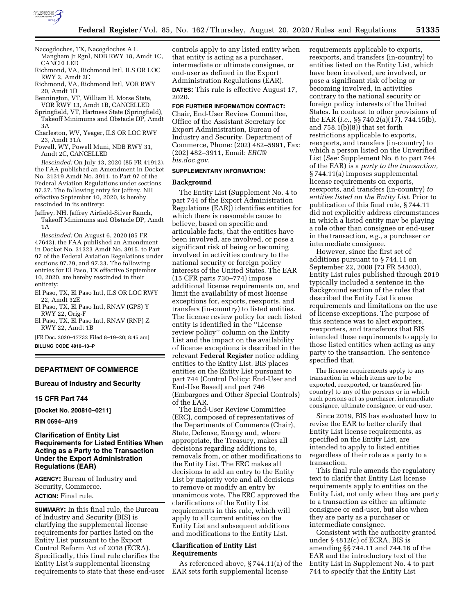

Nacogdoches, TX, Nacogdoches A L Mangham Jr Rgnl, NDB RWY 18, Amdt 1C, CANCELLED

- Richmond, VA, Richmond Intl, ILS OR LOC RWY 2, Amdt 2C
- Richmond, VA, Richmond Intl, VOR RWY 20, Amdt 1D

Bennington, VT, William H. Morse State, VOR RWY 13, Amdt 1B, CANCELLED

Springfield, VT, Hartness State (Springfield), Takeoff Minimums and Obstacle DP, Amdt 3A

Charleston, WV, Yeager, ILS OR LOC RWY 23, Amdt 31A

Powell, WY, Powell Muni, NDB RWY 31, Amdt 2C, CANCELLED

*Rescinded:* On July 13, 2020 (85 FR 41912), the FAA published an Amendment in Docket No. 31319 Amdt No. 3911, to Part 97 of the Federal Aviation Regulations under sections 97.37. The following entry for Jaffrey, NH effective September 10, 2020, is hereby rescinded in its entirety:

Jaffrey, NH, Jaffrey Airfield-Silver Ranch, Takeoff Minimums and Obstacle DP, Amdt 1A

*Rescinded:* On August 6, 2020 (85 FR 47643), the FAA published an Amendment in Docket No. 31323 Amdt No. 3915, to Part 97 of the Federal Aviation Regulations under sections 97.29, and 97.33. The following entries for El Paso, TX effective September 10, 2020, are hereby rescinded in their entirety:

El Paso, TX, El Paso Intl, ILS OR LOC RWY 22, Amdt 32E

El Paso, TX, El Paso Intl, RNAV (GPS) Y RWY 22, Orig-F

El Paso, TX, El Paso Intl, RNAV (RNP) Z RWY 22, Amdt 1B

[FR Doc. 2020–17732 Filed 8–19–20; 8:45 am] **BILLING CODE 4910–13–P** 

# **DEPARTMENT OF COMMERCE**

## **Bureau of Industry and Security**

## **15 CFR Part 744**

**[Docket No. 200810–0211]** 

# **RIN 0694–AI19**

# **Clarification of Entity List Requirements for Listed Entities When Acting as a Party to the Transaction Under the Export Administration Regulations (EAR)**

**AGENCY:** Bureau of Industry and Security, Commerce. **ACTION:** Final rule.

**SUMMARY:** In this final rule, the Bureau of Industry and Security (BIS) is clarifying the supplemental license requirements for parties listed on the Entity List pursuant to the Export Control Reform Act of 2018 (ECRA). Specifically, this final rule clarifies the Entity List's supplemental licensing requirements to state that these end-user controls apply to any listed entity when that entity is acting as a purchaser, intermediate or ultimate consignee, or end-user as defined in the Export Administration Regulations (EAR). **DATES:** This rule is effective August 17, 2020.

# **FOR FURTHER INFORMATION CONTACT:**

Chair, End-User Review Committee, Office of the Assistant Secretary for Export Administration, Bureau of Industry and Security, Department of Commerce, Phone: (202) 482–5991, Fax: (202) 482–3911, Email: *[ERC@](mailto:ERC@bis.doc.gov) [bis.doc.gov.](mailto:ERC@bis.doc.gov)* 

# **SUPPLEMENTARY INFORMATION:**

# **Background**

The Entity List (Supplement No. 4 to part 744 of the Export Administration Regulations (EAR)) identifies entities for which there is reasonable cause to believe, based on specific and articulable facts, that the entities have been involved, are involved, or pose a significant risk of being or becoming involved in activities contrary to the national security or foreign policy interests of the United States. The EAR (15 CFR parts 730–774) impose additional license requirements on, and limit the availability of most license exceptions for, exports, reexports, and transfers (in-country) to listed entities. The license review policy for each listed entity is identified in the ''License review policy'' column on the Entity List and the impact on the availability of license exceptions is described in the relevant **Federal Register** notice adding entities to the Entity List. BIS places entities on the Entity List pursuant to part 744 (Control Policy: End-User and End-Use Based) and part 746 (Embargoes and Other Special Controls) of the EAR.

The End-User Review Committee (ERC), composed of representatives of the Departments of Commerce (Chair), State, Defense, Energy and, where appropriate, the Treasury, makes all decisions regarding additions to, removals from, or other modifications to the Entity List. The ERC makes all decisions to add an entry to the Entity List by majority vote and all decisions to remove or modify an entry by unanimous vote. The ERC approved the clarifications of the Entity List requirements in this rule, which will apply to all current entities on the Entity List and subsequent additions and modifications to the Entity List.

#### **Clarification of Entity List Requirements**

As referenced above, § 744.11(a) of the EAR sets forth supplemental license

requirements applicable to exports, reexports, and transfers (in-country) to entities listed on the Entity List, which have been involved, are involved, or pose a significant risk of being or becoming involved, in activities contrary to the national security or foreign policy interests of the United States. In contrast to other provisions of the EAR (*i.e.,* §§ 740.2(a)(17), 744.15(b), and 758.1(b)(8)) that set forth restrictions applicable to exports, reexports, and transfers (in-country) to which a person listed on the Unverified List (*See:* Supplement No. 6 to part 744 of the EAR) is a *party to the transaction,*  § 744.11(a) imposes supplemental license requirements on exports, reexports, and transfers (in-country) *to entities listed on the Entity List.* Prior to publication of this final rule, § 744.11 did not explicitly address circumstances in which a listed entity may be playing a role other than consignee or end-user in the transaction, *e.g.,* a purchaser or intermediate consignee.

However, since the first set of additions pursuant to § 744.11 on September 22, 2008 (73 FR 54503), Entity List rules published through 2019 typically included a sentence in the Background section of the rules that described the Entity List license requirements and limitations on the use of license exceptions. The purpose of this sentence was to alert exporters, reexporters, and transferors that BIS intended these requirements to apply to those listed entities when acting as any party to the transaction. The sentence specified that,

The license requirements apply to any transaction in which items are to be exported, reexported, or transferred (incountry) to any of the persons or in which such persons act as purchaser, intermediate consignee, ultimate consignee, or end-user.

Since 2019, BIS has evaluated how to revise the EAR to better clarify that Entity List license requirements, as specified on the Entity List, are intended to apply to listed entities regardless of their role as a party to a transaction.

This final rule amends the regulatory text to clarify that Entity List license requirements apply to entities on the Entity List, not only when they are party to a transaction as either an ultimate consignee or end-user, but also when they are party as a purchaser or intermediate consignee.

Consistent with the authority granted under § 4812(c) of ECRA, BIS is amending §§ 744.11 and 744.16 of the EAR and the introductory text of the Entity List in Supplement No. 4 to part 744 to specify that the Entity List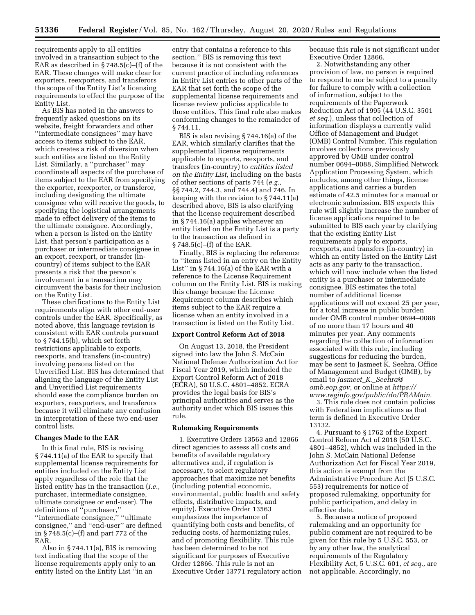requirements apply to all entities involved in a transaction subject to the EAR as described in § 748.5(c)–(f) of the EAR. These changes will make clear for exporters, reexporters, and transferors the scope of the Entity List's licensing requirements to effect the purpose of the Entity List.

As BIS has noted in the answers to frequently asked questions on its website, freight forwarders and other ''intermediate consignees'' may have access to items subject to the EAR, which creates a risk of diversion when such entities are listed on the Entity List. Similarly, a ''purchaser'' may coordinate all aspects of the purchase of items subject to the EAR from specifying the exporter, reexporter, or transferor, including designating the ultimate consignee who will receive the goods, to specifying the logistical arrangements made to effect delivery of the items to the ultimate consignee. Accordingly, when a person is listed on the Entity List, that person's participation as a purchaser or intermediate consignee in an export, reexport, or transfer (incountry) of items subject to the EAR presents a risk that the person's involvement in a transaction may circumvent the basis for their inclusion on the Entity List.

These clarifications to the Entity List requirements align with other end-user controls under the EAR. Specifically, as noted above, this language revision is consistent with EAR controls pursuant to § 744.15(b), which set forth restrictions applicable to exports, reexports, and transfers (in-country) involving persons listed on the Unverified List. BIS has determined that aligning the language of the Entity List and Unverified List requirements should ease the compliance burden on exporters, reexporters, and transferors because it will eliminate any confusion in interpretation of these two end-user control lists.

#### **Changes Made to the EAR**

In this final rule, BIS is revising § 744.11(a) of the EAR to specify that supplemental license requirements for entities included on the Entity List apply regardless of the role that the listed entity has in the transaction (*i.e.,*  purchaser, intermediate consignee, ultimate consignee or end-user). The definitions of ''purchaser,'' ''intermediate consignee,'' ''ultimate consignee,'' and ''end-user'' are defined in § 748.5(c)–(f) and part 772 of the EAR.

Also in § 744.11(a), BIS is removing text indicating that the scope of the license requirements apply only to an entity listed on the Entity List ''in an

entry that contains a reference to this section.'' BIS is removing this text because it is not consistent with the current practice of including references in Entity List entries to other parts of the EAR that set forth the scope of the supplemental license requirements and license review policies applicable to those entities. This final rule also makes conforming changes to the remainder of § 744.11.

BIS is also revising § 744.16(a) of the EAR, which similarly clarifies that the supplemental license requirements applicable to exports, reexports, and transfers (in-country) to *entities listed on the Entity List,* including on the basis of other sections of parts 744 (*e.g.,*  §§ 744.2, 744.3, and 744.4) and 746. In keeping with the revision to § 744.11(a) described above, BIS is also clarifying that the license requirement described in § 744.16(a) applies whenever an entity listed on the Entity List is a party to the transaction as defined in § 748.5(c)–(f) of the EAR.

Finally, BIS is replacing the reference to ''items listed in an entry on the Entity List'' in § 744.16(a) of the EAR with a reference to the License Requirement column on the Entity List. BIS is making this change because the License Requirement column describes which items subject to the EAR require a license when an entity involved in a transaction is listed on the Entity List.

#### **Export Control Reform Act of 2018**

On August 13, 2018, the President signed into law the John S. McCain National Defense Authorization Act for Fiscal Year 2019, which included the Export Control Reform Act of 2018 (ECRA), 50 U.S.C. 4801–4852. ECRA provides the legal basis for BIS's principal authorities and serves as the authority under which BIS issues this rule.

## **Rulemaking Requirements**

1. Executive Orders 13563 and 12866 direct agencies to assess all costs and benefits of available regulatory alternatives and, if regulation is necessary, to select regulatory approaches that maximize net benefits (including potential economic, environmental, public health and safety effects, distributive impacts, and equity). Executive Order 13563 emphasizes the importance of quantifying both costs and benefits, of reducing costs, of harmonizing rules, and of promoting flexibility. This rule has been determined to be not significant for purposes of Executive Order 12866. This rule is not an Executive Order 13771 regulatory action because this rule is not significant under Executive Order 12866.

2. Notwithstanding any other provision of law, no person is required to respond to nor be subject to a penalty for failure to comply with a collection of information, subject to the requirements of the Paperwork Reduction Act of 1995 (44 U.S.C. 3501 *et seq.*), unless that collection of information displays a currently valid Office of Management and Budget (OMB) Control Number. This regulation involves collections previously approved by OMB under control number 0694–0088, Simplified Network Application Processing System, which includes, among other things, license applications and carries a burden estimate of 42.5 minutes for a manual or electronic submission. BIS expects this rule will slightly increase the number of license applications required to be submitted to BIS each year by clarifying that the existing Entity List requirements apply to exports, reexports, and transfers (in-country) in which an entity listed on the Entity List acts as any party to the transaction, which will now include when the listed entity is a purchaser or intermediate consignee. BIS estimates the total number of additional license applications will not exceed 25 per year, for a total increase in public burden under OMB control number 0694–0088 of no more than 17 hours and 40 minutes per year. Any comments regarding the collection of information associated with this rule, including suggestions for reducing the burden, may be sent to Jasmeet K. Seehra, Office of Management and Budget (OMB), by email to *Jasmeet*\_*K.*\_*[Seehra@](mailto:Jasmeet_K._Seehra@omb.eop.gov) [omb.eop.gov,](mailto:Jasmeet_K._Seehra@omb.eop.gov)* or online at *[https://](https://www.reginfo.gov/public/do/PRAMain) [www.reginfo.gov/public/do/PRAMain.](https://www.reginfo.gov/public/do/PRAMain)* 

3. This rule does not contain policies with Federalism implications as that term is defined in Executive Order 13132.

4. Pursuant to § 1762 of the Export Control Reform Act of 2018 (50 U.S.C. 4801–4852), which was included in the John S. McCain National Defense Authorization Act for Fiscal Year 2019, this action is exempt from the Administrative Procedure Act (5 U.S.C. 553) requirements for notice of proposed rulemaking, opportunity for public participation, and delay in effective date.

5. Because a notice of proposed rulemaking and an opportunity for public comment are not required to be given for this rule by 5 U.S.C. 553, or by any other law, the analytical requirements of the Regulatory Flexibility Act, 5 U.S.C. 601, *et seq.,* are not applicable. Accordingly, no